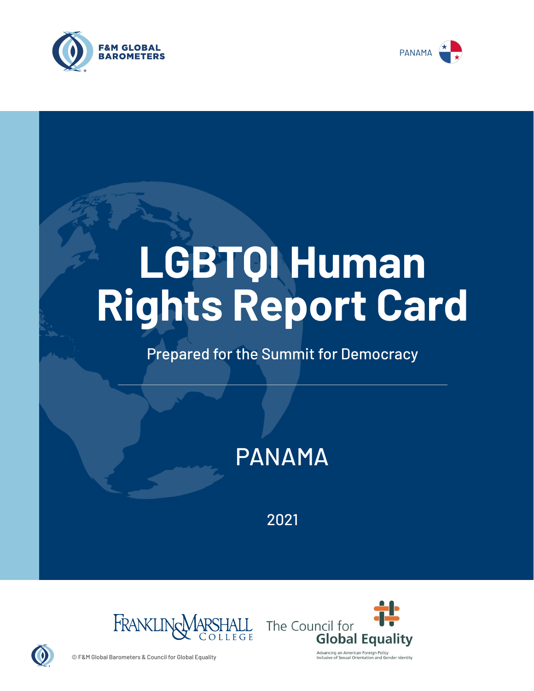



# **LGBTQI Human Rights Report Card**

## Prepared for the Summit for Democracy

# PANAMA

2021





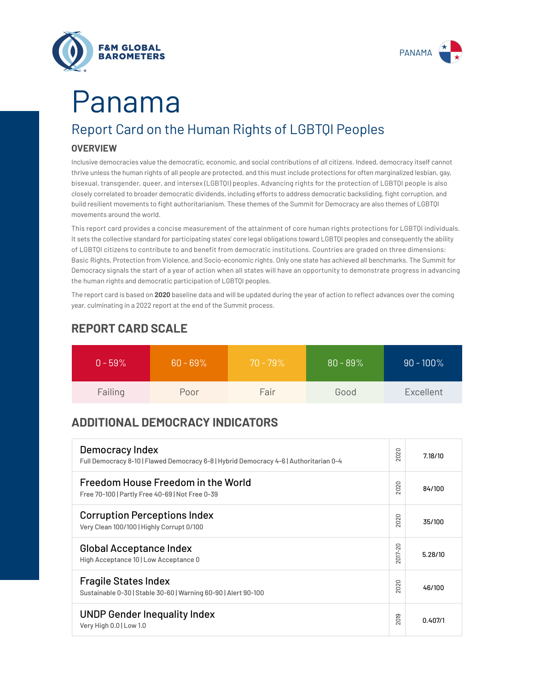



# Report Card on the Human Rights of LGBTQI Peoples Panama

#### **OVERVIEW**

Inclusive democracies value the democratic, economic, and social contributions of *all* citizens. Indeed, democracy itself cannot thrive unless the human rights of all people are protected, and this must include protections for often marginalized lesbian, gay, bisexual, transgender, queer, and intersex (LGBTQI) peoples. Advancing rights for the protection of LGBTQI people is also closely correlated to broader democratic dividends, including efforts to address democratic backsliding, fight corruption, and build resilient movements to fight authoritarianism. These themes of the Summit for Democracy are also themes of LGBTQI movements around the world.

This report card provides a concise measurement of the attainment of core human rights protections for LGBTQI individuals. It sets the collective standard for participating states' core legal obligations toward LGBTQI peoples and consequently the ability of LGBTQI citizens to contribute to and benefit from democratic institutions. Countries are graded on three dimensions: Basic Rights, Protection from Violence, and Socio-economic rights. Only one state has achieved all benchmarks. The Summit for Democracy signals the start of a year of action when all states will have an opportunity to demonstrate progress in advancing the human rights and democratic participation of LGBTQI peoples.

The report card is based on **2020** baseline data and will be updated during the year of action to reflect advances over the coming year, culminating in a 2022 report at the end of the Summit process.

| $0 - 59\%$ | $60 - 69\%$ | $70 - 79\%$ | $80 - 89\%$ | $90 - 100\%$ |
|------------|-------------|-------------|-------------|--------------|
| Failing    | Poor        | Fair        | Good        | Excellent    |

### **REPORT CARD SCALE**

## **ADDITIONAL DEMOCRACY INDICATORS**

| Democracy Index<br>Full Democracy 8-10   Flawed Democracy 6-8   Hybrid Democracy 4-6   Authoritarian 0-4 | 2020                   | 7.18/10 |
|----------------------------------------------------------------------------------------------------------|------------------------|---------|
| Freedom House Freedom in the World<br>Free 70-100   Partly Free 40-69   Not Free 0-39                    | 2020                   | 84/100  |
| <b>Corruption Perceptions Index</b><br>Very Clean 100/100   Highly Corrupt 0/100                         | 020<br>$\sim$          | 35/100  |
| <b>Global Acceptance Index</b><br>High Acceptance 10   Low Acceptance 0                                  | 2017-20                | 5.28/10 |
| <b>Fragile States Index</b><br>Sustainable 0-30   Stable 30-60   Warning 60-90   Alert 90-100            | 2020                   | 46/100  |
| <b>UNDP Gender Inequality Index</b><br>Very High 0.0   Low 1.0                                           | တ<br>5<br>$\bar{\sim}$ | 0.407/1 |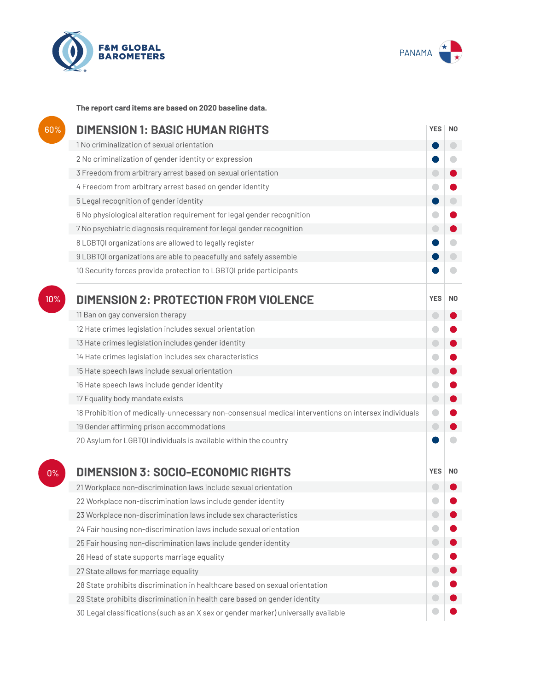



**The report card items are based on 2020 baseline data.**

| 60% | <b>DIMENSION 1: BASIC HUMAN RIGHTS</b>                                                               |                          |                |
|-----|------------------------------------------------------------------------------------------------------|--------------------------|----------------|
|     | 1 No criminalization of sexual orientation                                                           |                          | $\bigcirc$     |
|     | 2 No criminalization of gender identity or expression                                                |                          | ۰              |
|     | 3 Freedom from arbitrary arrest based on sexual orientation                                          | $\Box$                   |                |
|     | 4 Freedom from arbitrary arrest based on gender identity                                             |                          |                |
|     | 5 Legal recognition of gender identity                                                               | D                        | $\bigcirc$     |
|     | 6 No physiological alteration requirement for legal gender recognition                               | $\bullet$                |                |
|     | 7 No psychiatric diagnosis requirement for legal gender recognition                                  | $\bigcirc$               |                |
|     | 8 LGBTQI organizations are allowed to legally register                                               |                          |                |
|     | 9 LGBTQI organizations are able to peacefully and safely assemble                                    |                          | $\Box$         |
|     | 10 Security forces provide protection to LGBTQI pride participants                                   |                          |                |
| 10% | <b>DIMENSION 2: PROTECTION FROM VIOLENCE</b>                                                         | <b>YES</b>               | N <sub>0</sub> |
|     | 11 Ban on gay conversion therapy                                                                     | $\overline{\phantom{0}}$ |                |
|     | 12 Hate crimes legislation includes sexual orientation                                               | $\blacksquare$           |                |
|     | 13 Hate crimes legislation includes gender identity                                                  | $\bigcirc$               |                |
|     | 14 Hate crimes legislation includes sex characteristics                                              | 0                        |                |
|     | 15 Hate speech laws include sexual orientation                                                       | $\bigcirc$               |                |
|     | 16 Hate speech laws include gender identity                                                          | $\bigcirc$               |                |
|     | 17 Equality body mandate exists                                                                      | $\bigcirc$               |                |
|     | 18 Prohibition of medically-unnecessary non-consensual medical interventions on intersex individuals | $\bullet$                |                |
|     | 19 Gender affirming prison accommodations                                                            | $\bigodot$               |                |
|     | 20 Asylum for LGBTQI individuals is available within the country                                     |                          |                |
| 0%  | <b>DIMENSION 3: SOCIO-ECONOMIC RIGHTS</b>                                                            | <b>YES</b>               | N <sub>0</sub> |
|     | 21 Workplace non-discrimination laws include sexual orientation                                      |                          |                |
|     | 22 Workplace non-discrimination laws include gender identity                                         |                          |                |
|     | 23 Workplace non-discrimination laws include sex characteristics                                     |                          |                |
|     | 24 Fair housing non-discrimination laws include sexual orientation                                   |                          |                |
|     | 25 Fair housing non-discrimination laws include gender identity                                      | $\Box$                   |                |
|     | 26 Head of state supports marriage equality                                                          |                          |                |
|     | 27 State allows for marriage equality                                                                | $\Box$                   |                |
|     | 28 State prohibits discrimination in healthcare based on sexual orientation                          | $\bullet$                |                |
|     | 29 State prohibits discrimination in health care based on gender identity                            |                          |                |
|     | 30 Legal classifications (such as an X sex or gender marker) universally available                   |                          |                |